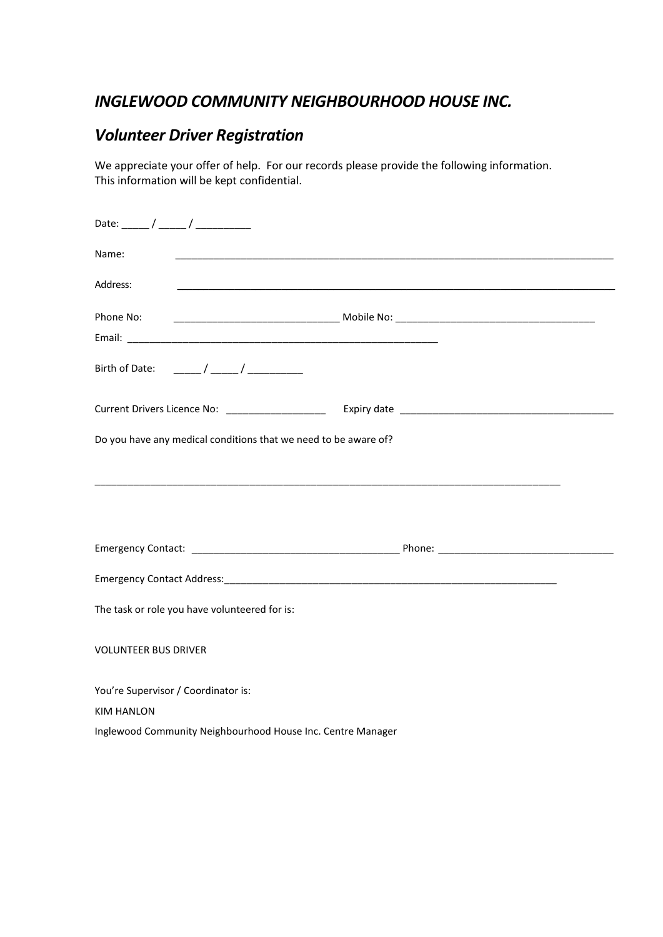## *INGLEWOOD COMMUNITY NEIGHBOURHOOD HOUSE INC.*

## *Volunteer Driver Registration*

We appreciate your offer of help. For our records please provide the following information. This information will be kept confidential.

| Name:                                                           |                                                                                                                       |
|-----------------------------------------------------------------|-----------------------------------------------------------------------------------------------------------------------|
| Address:                                                        | <u> 1989 - Johann Harry Harry Harry Harry Harry Harry Harry Harry Harry Harry Harry Harry Harry Harry Harry Harry</u> |
|                                                                 |                                                                                                                       |
|                                                                 |                                                                                                                       |
|                                                                 |                                                                                                                       |
|                                                                 |                                                                                                                       |
| Do you have any medical conditions that we need to be aware of? |                                                                                                                       |
|                                                                 |                                                                                                                       |
|                                                                 |                                                                                                                       |
|                                                                 |                                                                                                                       |
|                                                                 |                                                                                                                       |
| The task or role you have volunteered for is:                   |                                                                                                                       |
| <b>VOLUNTEER BUS DRIVER</b>                                     |                                                                                                                       |
| You're Supervisor / Coordinator is:                             |                                                                                                                       |
| <b>KIM HANLON</b>                                               |                                                                                                                       |
| Inglewood Community Neighbourhood House Inc. Centre Manager     |                                                                                                                       |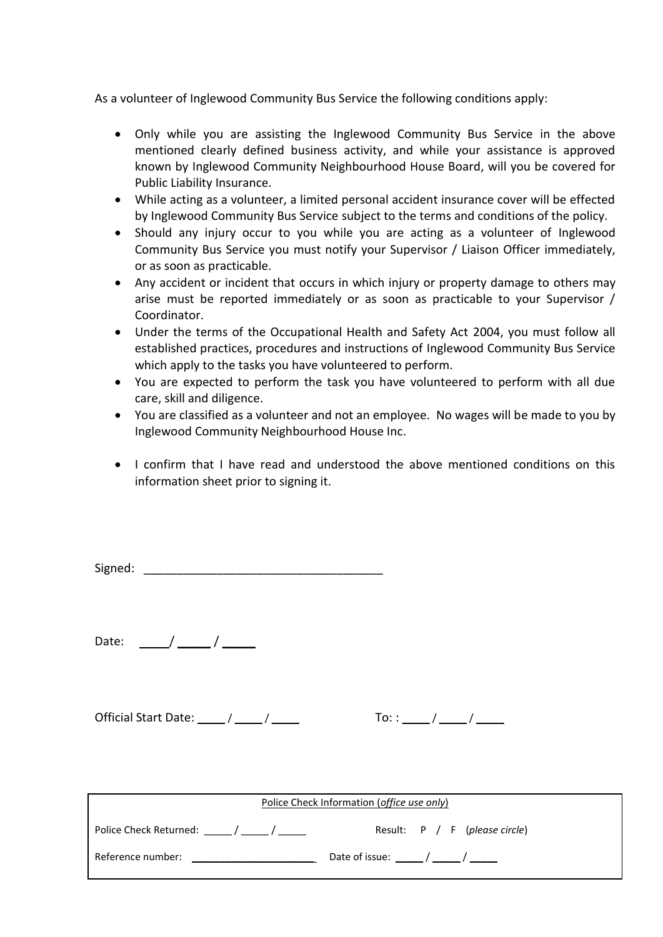As a volunteer of Inglewood Community Bus Service the following conditions apply:

- Only while you are assisting the Inglewood Community Bus Service in the above mentioned clearly defined business activity, and while your assistance is approved known by Inglewood Community Neighbourhood House Board, will you be covered for Public Liability Insurance.
- While acting as a volunteer, a limited personal accident insurance cover will be effected by Inglewood Community Bus Service subject to the terms and conditions of the policy.
- Should any injury occur to you while you are acting as a volunteer of Inglewood Community Bus Service you must notify your Supervisor / Liaison Officer immediately, or as soon as practicable.
- Any accident or incident that occurs in which injury or property damage to others may arise must be reported immediately or as soon as practicable to your Supervisor / Coordinator.
- Under the terms of the Occupational Health and Safety Act 2004, you must follow all established practices, procedures and instructions of Inglewood Community Bus Service which apply to the tasks you have volunteered to perform.
- You are expected to perform the task you have volunteered to perform with all due care, skill and diligence.
- You are classified as a volunteer and not an employee. No wages will be made to you by Inglewood Community Neighbourhood House Inc.
- I confirm that I have read and understood the above mentioned conditions on this information sheet prior to signing it.

| Signed: |  |
|---------|--|
|         |  |

Date: / \_\_\_\_\_ / \_\_\_\_\_

Official Start Date:  $\frac{\sqrt{2}}{2}$ 

| ٠<br>- |  |  |  |
|--------|--|--|--|
|        |  |  |  |

| Police Check Information ( <i>office use only</i> ) |                                 |  |  |  |
|-----------------------------------------------------|---------------------------------|--|--|--|
| Police Check Returned: _____/ _____/ ______         | Result: $P / F$ (please circle) |  |  |  |
| Reference number:                                   | Date of issue: / /              |  |  |  |